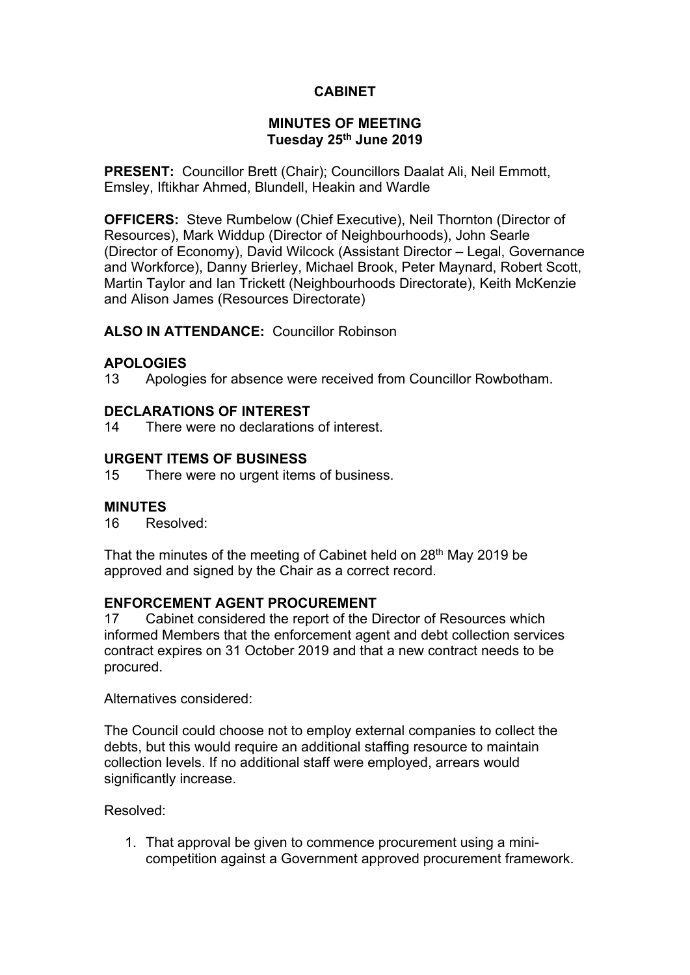# **CABINET**

### **MINUTES OF MEETING Tuesday 25th June 2019**

**PRESENT:** Councillor Brett (Chair); Councillors Daalat Ali, Neil Emmott, Emsley, Iftikhar Ahmed, Blundell, Heakin and Wardle

**OFFICERS:** Steve Rumbelow (Chief Executive), Neil Thornton (Director of Resources), Mark Widdup (Director of Neighbourhoods), John Searle (Director of Economy), David Wilcock (Assistant Director – Legal, Governance and Workforce), Danny Brierley, Michael Brook, Peter Maynard, Robert Scott, Martin Taylor and Ian Trickett (Neighbourhoods Directorate), Keith McKenzie and Alison James (Resources Directorate)

### **ALSO IN ATTENDANCE:** Councillor Robinson

### **APOLOGIES**

13 Apologies for absence were received from Councillor Rowbotham.

### **DECLARATIONS OF INTEREST**

14 There were no declarations of interest.

### **URGENT ITEMS OF BUSINESS**

15 There were no urgent items of business.

#### **MINUTES**

16 Resolved:

That the minutes of the meeting of Cabinet held on 28<sup>th</sup> May 2019 be approved and signed by the Chair as a correct record.

### **ENFORCEMENT AGENT PROCUREMENT**

17 Cabinet considered the report of the Director of Resources which informed Members that the enforcement agent and debt collection services contract expires on 31 October 2019 and that a new contract needs to be procured.

Alternatives considered:

The Council could choose not to employ external companies to collect the debts, but this would require an additional staffing resource to maintain collection levels. If no additional staff were employed, arrears would significantly increase.

Resolved:

1. That approval be given to commence procurement using a minicompetition against a Government approved procurement framework.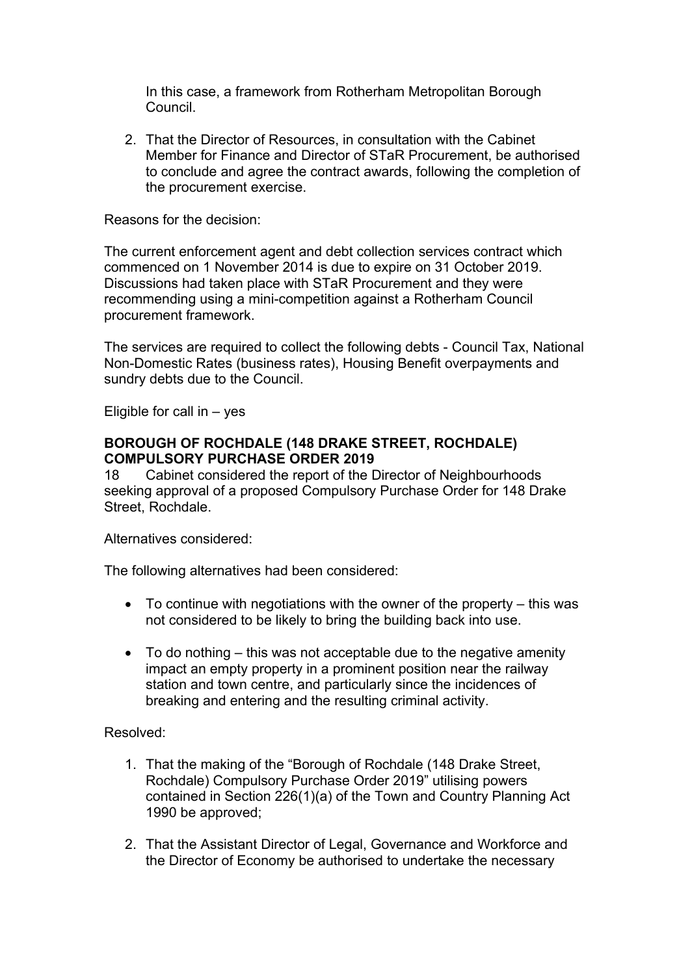In this case, a framework from Rotherham Metropolitan Borough Council.

2. That the Director of Resources, in consultation with the Cabinet Member for Finance and Director of STaR Procurement, be authorised to conclude and agree the contract awards, following the completion of the procurement exercise.

### Reasons for the decision:

The current enforcement agent and debt collection services contract which commenced on 1 November 2014 is due to expire on 31 October 2019. Discussions had taken place with STaR Procurement and they were recommending using a mini-competition against a Rotherham Council procurement framework.

The services are required to collect the following debts - Council Tax, National Non-Domestic Rates (business rates), Housing Benefit overpayments and sundry debts due to the Council.

Eligible for call in  $-$  yes

### **BOROUGH OF ROCHDALE (148 DRAKE STREET, ROCHDALE) COMPULSORY PURCHASE ORDER 2019**

18 Cabinet considered the report of the Director of Neighbourhoods seeking approval of a proposed Compulsory Purchase Order for 148 Drake Street, Rochdale.

Alternatives considered:

The following alternatives had been considered:

- To continue with negotiations with the owner of the property this was not considered to be likely to bring the building back into use.
- To do nothing this was not acceptable due to the negative amenity impact an empty property in a prominent position near the railway station and town centre, and particularly since the incidences of breaking and entering and the resulting criminal activity.

# Resolved:

- 1. That the making of the "Borough of Rochdale (148 Drake Street, Rochdale) Compulsory Purchase Order 2019" utilising powers contained in Section 226(1)(a) of the Town and Country Planning Act 1990 be approved;
- 2. That the Assistant Director of Legal, Governance and Workforce and the Director of Economy be authorised to undertake the necessary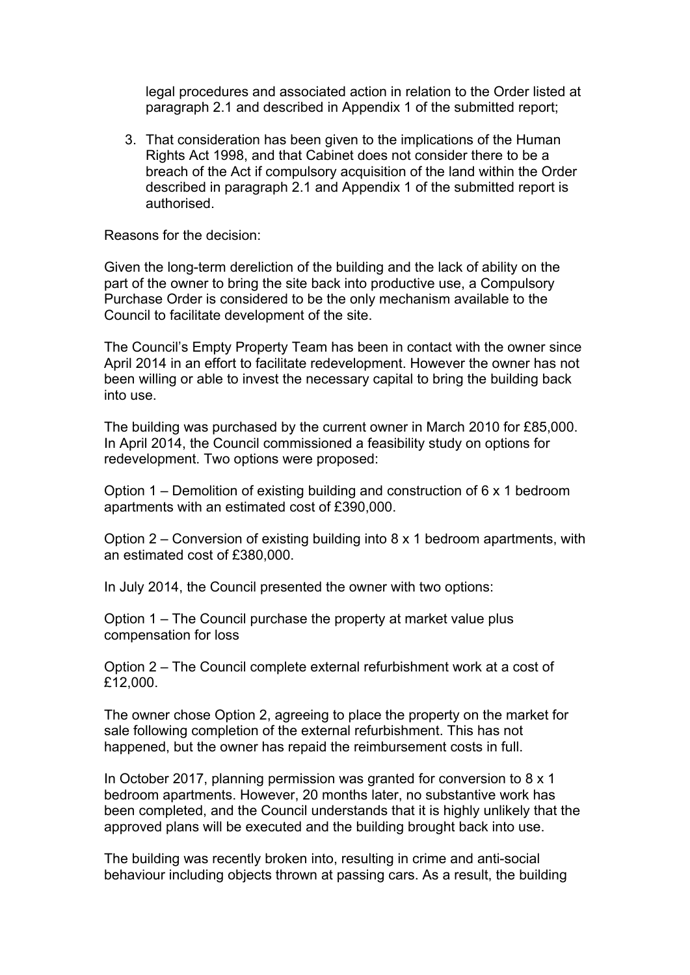legal procedures and associated action in relation to the Order listed at paragraph 2.1 and described in Appendix 1 of the submitted report;

3. That consideration has been given to the implications of the Human Rights Act 1998, and that Cabinet does not consider there to be a breach of the Act if compulsory acquisition of the land within the Order described in paragraph 2.1 and Appendix 1 of the submitted report is authorised.

Reasons for the decision:

Given the long-term dereliction of the building and the lack of ability on the part of the owner to bring the site back into productive use, a Compulsory Purchase Order is considered to be the only mechanism available to the Council to facilitate development of the site.

The Council's Empty Property Team has been in contact with the owner since April 2014 in an effort to facilitate redevelopment. However the owner has not been willing or able to invest the necessary capital to bring the building back into use.

The building was purchased by the current owner in March 2010 for £85,000. In April 2014, the Council commissioned a feasibility study on options for redevelopment. Two options were proposed:

Option 1 – Demolition of existing building and construction of 6 x 1 bedroom apartments with an estimated cost of £390,000.

Option 2 – Conversion of existing building into 8 x 1 bedroom apartments, with an estimated cost of £380,000.

In July 2014, the Council presented the owner with two options:

Option 1 – The Council purchase the property at market value plus compensation for loss

Option 2 – The Council complete external refurbishment work at a cost of £12,000.

The owner chose Option 2, agreeing to place the property on the market for sale following completion of the external refurbishment. This has not happened, but the owner has repaid the reimbursement costs in full.

In October 2017, planning permission was granted for conversion to 8 x 1 bedroom apartments. However, 20 months later, no substantive work has been completed, and the Council understands that it is highly unlikely that the approved plans will be executed and the building brought back into use.

The building was recently broken into, resulting in crime and anti-social behaviour including objects thrown at passing cars. As a result, the building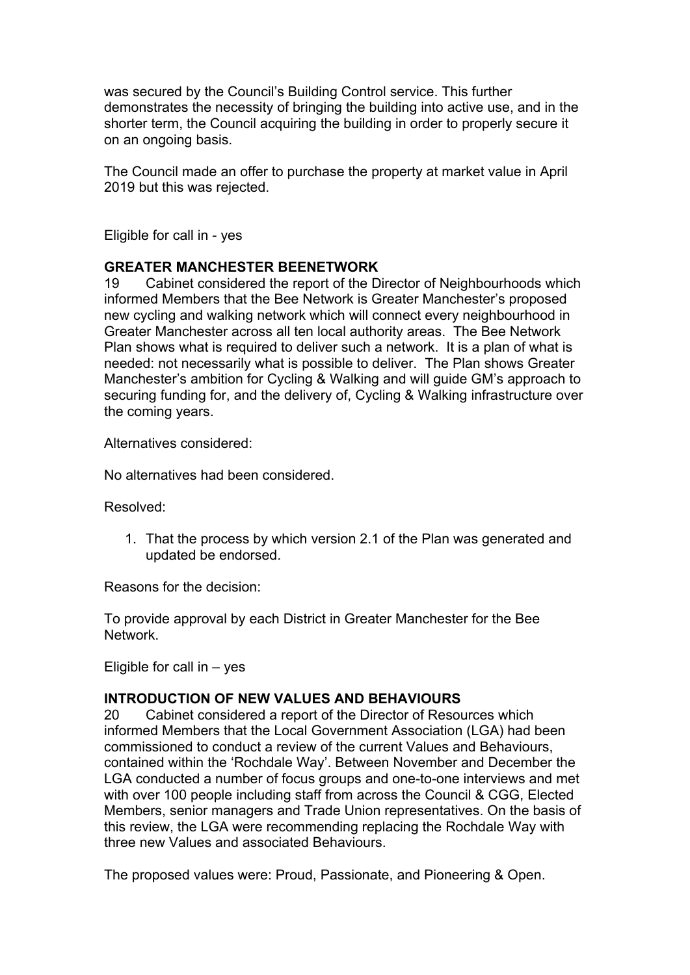was secured by the Council's Building Control service. This further demonstrates the necessity of bringing the building into active use, and in the shorter term, the Council acquiring the building in order to properly secure it on an ongoing basis.

The Council made an offer to purchase the property at market value in April 2019 but this was rejected.

Eligible for call in - yes

# **GREATER MANCHESTER BEENETWORK**

19 Cabinet considered the report of the Director of Neighbourhoods which informed Members that the Bee Network is Greater Manchester's proposed new cycling and walking network which will connect every neighbourhood in Greater Manchester across all ten local authority areas. The Bee Network Plan shows what is required to deliver such a network. It is a plan of what is needed: not necessarily what is possible to deliver. The Plan shows Greater Manchester's ambition for Cycling & Walking and will guide GM's approach to securing funding for, and the delivery of, Cycling & Walking infrastructure over the coming years.

Alternatives considered:

No alternatives had been considered.

Resolved:

1. That the process by which version 2.1 of the Plan was generated and updated be endorsed.

Reasons for the decision:

To provide approval by each District in Greater Manchester for the Bee Network.

Eligible for call in  $-$  yes

# **INTRODUCTION OF NEW VALUES AND BEHAVIOURS**

20 Cabinet considered a report of the Director of Resources which informed Members that the Local Government Association (LGA) had been commissioned to conduct a review of the current Values and Behaviours, contained within the 'Rochdale Way'. Between November and December the LGA conducted a number of focus groups and one-to-one interviews and met with over 100 people including staff from across the Council & CGG, Elected Members, senior managers and Trade Union representatives. On the basis of this review, the LGA were recommending replacing the Rochdale Way with three new Values and associated Behaviours.

The proposed values were: Proud, Passionate, and Pioneering & Open.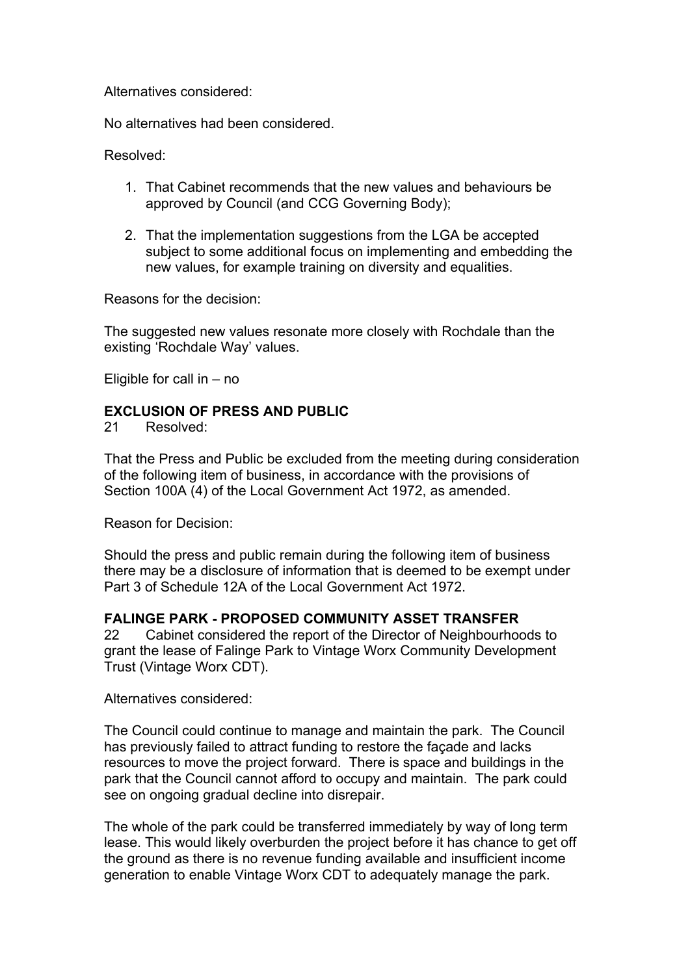Alternatives considered:

No alternatives had been considered.

Resolved:

- 1. That Cabinet recommends that the new values and behaviours be approved by Council (and CCG Governing Body);
- 2. That the implementation suggestions from the LGA be accepted subject to some additional focus on implementing and embedding the new values, for example training on diversity and equalities.

Reasons for the decision:

The suggested new values resonate more closely with Rochdale than the existing 'Rochdale Way' values.

Eligible for call in – no

# **EXCLUSION OF PRESS AND PUBLIC**

21 Resolved:

That the Press and Public be excluded from the meeting during consideration of the following item of business, in accordance with the provisions of Section 100A (4) of the Local Government Act 1972, as amended.

Reason for Decision:

Should the press and public remain during the following item of business there may be a disclosure of information that is deemed to be exempt under Part 3 of Schedule 12A of the Local Government Act 1972.

# **FALINGE PARK - PROPOSED COMMUNITY ASSET TRANSFER**

22 Cabinet considered the report of the Director of Neighbourhoods to grant the lease of Falinge Park to Vintage Worx Community Development Trust (Vintage Worx CDT).

Alternatives considered:

The Council could continue to manage and maintain the park. The Council has previously failed to attract funding to restore the façade and lacks resources to move the project forward. There is space and buildings in the park that the Council cannot afford to occupy and maintain. The park could see on ongoing gradual decline into disrepair.

The whole of the park could be transferred immediately by way of long term lease. This would likely overburden the project before it has chance to get off the ground as there is no revenue funding available and insufficient income generation to enable Vintage Worx CDT to adequately manage the park.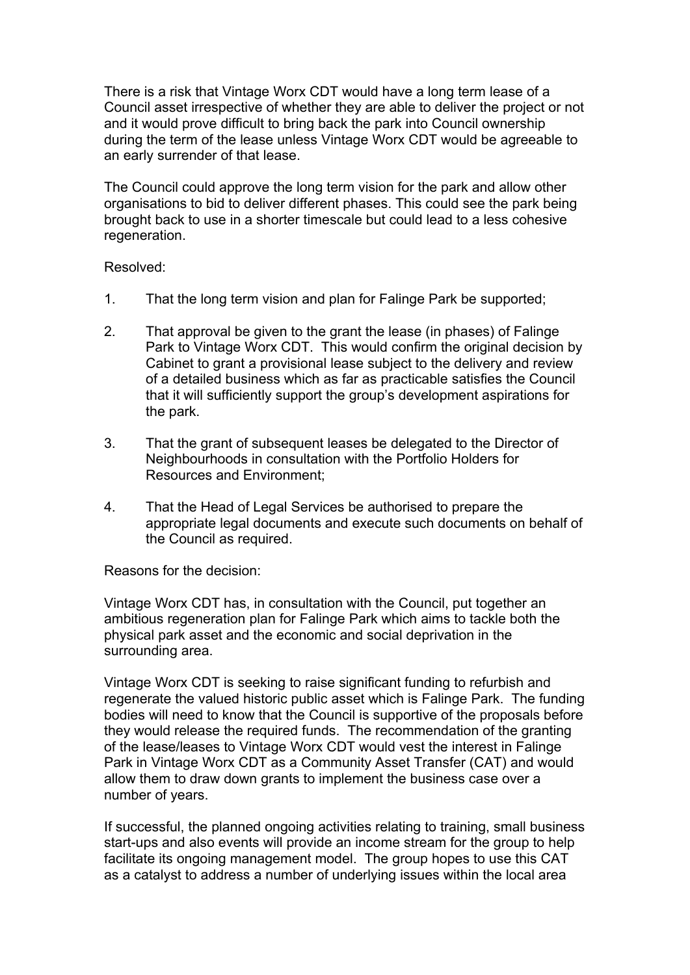There is a risk that Vintage Worx CDT would have a long term lease of a Council asset irrespective of whether they are able to deliver the project or not and it would prove difficult to bring back the park into Council ownership during the term of the lease unless Vintage Worx CDT would be agreeable to an early surrender of that lease.

The Council could approve the long term vision for the park and allow other organisations to bid to deliver different phases. This could see the park being brought back to use in a shorter timescale but could lead to a less cohesive regeneration.

# Resolved:

- 1. That the long term vision and plan for Falinge Park be supported;
- 2. That approval be given to the grant the lease (in phases) of Falinge Park to Vintage Worx CDT. This would confirm the original decision by Cabinet to grant a provisional lease subject to the delivery and review of a detailed business which as far as practicable satisfies the Council that it will sufficiently support the group's development aspirations for the park.
- 3. That the grant of subsequent leases be delegated to the Director of Neighbourhoods in consultation with the Portfolio Holders for Resources and Environment;
- 4. That the Head of Legal Services be authorised to prepare the appropriate legal documents and execute such documents on behalf of the Council as required.

Reasons for the decision:

Vintage Worx CDT has, in consultation with the Council, put together an ambitious regeneration plan for Falinge Park which aims to tackle both the physical park asset and the economic and social deprivation in the surrounding area.

Vintage Worx CDT is seeking to raise significant funding to refurbish and regenerate the valued historic public asset which is Falinge Park. The funding bodies will need to know that the Council is supportive of the proposals before they would release the required funds. The recommendation of the granting of the lease/leases to Vintage Worx CDT would vest the interest in Falinge Park in Vintage Worx CDT as a Community Asset Transfer (CAT) and would allow them to draw down grants to implement the business case over a number of years.

If successful, the planned ongoing activities relating to training, small business start-ups and also events will provide an income stream for the group to help facilitate its ongoing management model. The group hopes to use this CAT as a catalyst to address a number of underlying issues within the local area